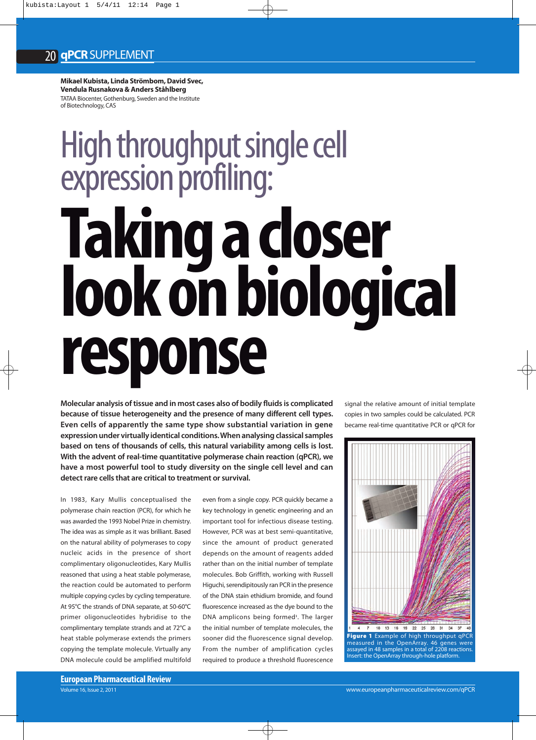**Mikael Kubista, Linda Strömbom, David Svec, Vendula Rusnakova & Anders Ståhlberg** TATAA Biocenter, Gothenburg, Sweden and the Institute of Biotechnology, CAS

# High throughput single cell<br>expression profiling: expression profile and the profile of the profile of the profile of the profile of the profile of the profile of the profile of the profile of the profile of the profile of the profile of the profile of the profile of the **Taking a combiologies response**

**Molecular analysis of tissue and in most cases also of bodily fluids is complicated because of tissue heterogeneity and the presence of many different cell types. Even cells of apparently the same type show substantial variation in gene expression under virtually identical conditions. When analysing classical samples based on tens of thousands of cells, this natural variability among cells is lost. With the advent of real-time quantitative polymerase chain reaction (qPCR), we have a most powerful tool to study diversity on the single cell level and can detect rare cells that are critical to treatment or survival.**  Molecular analysis of tissue and in most cases also of bodily flue<br>
because of tissue heterogeneity and the presence of many of<br>
Even cells of apparently the same type show substantial<br>
expression under virtually identical

In 1983, Kary Mullis conceptualised the polymerase chain reaction (PCR), for which he was awarded the 1993 Nobel Prize in chemistry. The idea was as simple as it was brilliant. Based on the natural ability of polymerases to copy nucleic acids in the presence of short complimentary oligonucleotides, Kary Mullis reasoned that using a heat stable polymerase, the reaction could be automated to perform multiple copying cycles by cycling temperature. At 95°C the strands of DNA separate, at 50-60°C primer oligonucleotides hybridise to the complimentary template strands and at 72°C a heat stable polymerase extends the primers copying the template molecule. Virtually any DNA molecule could be amplified multifold even from a single copy. PCR quickly became a key technology in genetic engineering and an important tool for infectious disease testing. However, PCR was at best semi-quantitative, since the amount of product generated depends on the amount of reagents added rather than on the initial number of template molecules. Bob Griffith, working with Russell Higuchi, serendipitously ran PCR in the presence of the DNA stain ethidium bromide, and found fluorescence increased as the dye bound to the DNA amplicons being formed<sup>1</sup>. The larger the initial number of template molecules, the sooner did the fluorescence signal develop. From the number of amplification cycles required to produce a threshold fluorescence

signal the relative amount of initial template copies in two samples could be calculated. PCR became real-time quantitative PCR or qPCR for

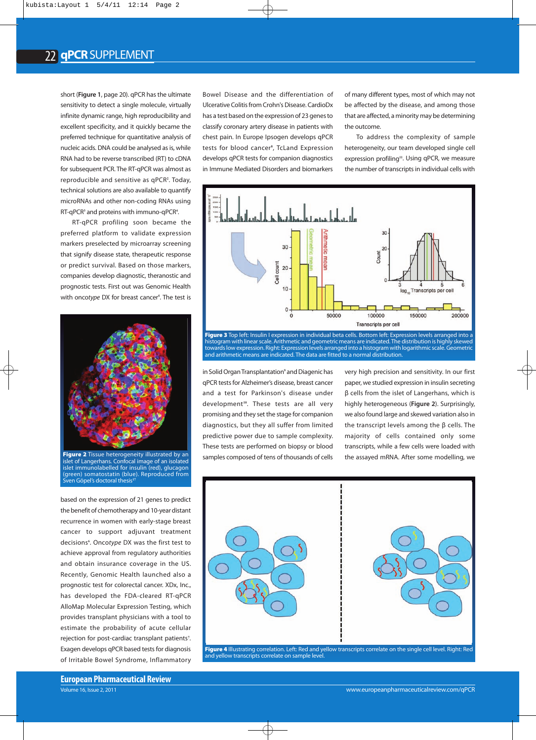short (**Figure 1**, page 20). qPCR has the ultimate sensitivity to detect a single molecule, virtually infinite dynamic range, high reproducibility and excellent specificity, and it quickly became the preferred technique for quantitative analysis of nucleic acids. DNA could be analysed as is, while RNA had to be reverse transcribed (RT) to cDNA for subsequent PCR. The RT-qPCR was almost as reproducible and sensitive as qPCR**<sup>2</sup>** . Today, technical solutions are also available to quantify microRNAs and other non-coding RNAs using RT-qPCR**<sup>3</sup>** and proteins with immuno-qPCR**<sup>4</sup>** .

RT-qPCR profiling soon became the preferred platform to validate expression markers preselected by microarray screening that signify disease state, therapeutic response or predict survival. Based on those markers, companies develop diagnostic, theranostic and prognostic tests. First out was Genomic Health with oncotype DX for breast cancer<sup>s</sup>. The test is



**Figure 2** Tissue heterogeneity illustrated by an et of Langerhans. Confocal image of an isolated islet immunolabelled for insulin (red), glucagon (green) somatostatin (blue). Reproduced from Sven Göpel's doctoral thesis**<sup>17</sup>**

based on the expression of 21 genes to predict the benefit of chemotherapy and 10-year distant recurrence in women with early-stage breast cancer to support adjuvant treatment decisions**<sup>6</sup>** . Onco*type* DX was the first test to achieve approval from regulatory authorities and obtain insurance coverage in the US. Recently, Genomic Health launched also a prognostic test for colorectal cancer. XDx, Inc., has developed the FDA-cleared RT-qPCR AlloMap Molecular Expression Testing, which provides transplant physicians with a tool to estimate the probability of acute cellular rejection for post-cardiac transplant patients**<sup>7</sup>** . Exagen develops qPCR based tests for diagnosis of Irritable Bowel Syndrome, Inflammatory

Bowel Disease and the differentiation of Ulcerative Colitis from Crohn's Disease. CardioDx has a test based on the expression of 23 genes to classify coronary artery disease in patients with chest pain. In Europe Ipsogen develops qPCR tests for blood cancer**<sup>8</sup>** , TcLand Expression develops qPCR tests for companion diagnostics in Immune Mediated Disorders and biomarkers of many different types, most of which may not be affected by the disease, and among those that are affected, a minority may be determining the outcome.

To address the complexity of sample heterogeneity, our team developed single cell expression profiling**<sup>11</sup>**. Using qPCR, we measure the number of transcripts in individual cells with



histogram with linear scale. Arithmetic and geometric means are indicated. The distribution is highly skewed towards low expression. Right: Expression levels arranged into a histogram with logarithmic scale. Geometric and arithmetic means are indicated. The data are fitted to a normal distribution.

in Solid Organ Transplantation**<sup>9</sup>** and Diagenic has qPCR tests for Alzheimer's disease, breast cancer and a test for Parkinson's disease under development**<sup>10</sup>**. These tests are all very promising and they set the stage for companion diagnostics, but they all suffer from limited predictive power due to sample complexity. These tests are performed on biopsy or blood samples composed of tens of thousands of cells very high precision and sensitivity. In our first paper, we studied expression in insulin secreting β cells from the islet of Langerhans, which is highly heterogeneous (**Figure 2**). Surprisingly, we also found large and skewed variation also in the transcript levels among the β cells. The majority of cells contained only some transcripts, while a few cells were loaded with the assayed mRNA. After some modelling, we



and yellow transcripts correlate on sample level.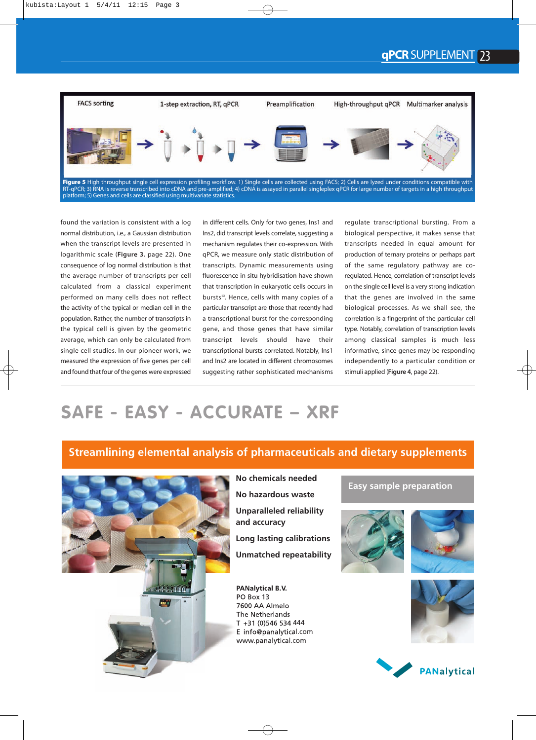

found the variation is consistent with a log normal distribution, i.e., a Gaussian distribution when the transcript levels are presented in logarithmic scale (**Figure 3**, page 22). One consequence of log normal distribution is that the average number of transcripts per cell calculated from a classical experiment performed on many cells does not reflect the activity of the typical or median cell in the population. Rather, the number of transcripts in the typical cell is given by the geometric average, which can only be calculated from single cell studies. In our pioneer work, we measured the expression of five genes per cell and found that four of the genes were expressed

in different cells. Only for two genes, Ins1 and Ins2, did transcript levels correlate, suggesting a mechanism regulates their co-expression. With qPCR, we measure only static distribution of transcripts. Dynamic measurements using fluorescence in situ hybridisation have shown that transcription in eukaryotic cells occurs in bursts**<sup>12</sup>**. Hence, cells with many copies of a particular transcript are those that recently had a transcriptional burst for the corresponding gene, and those genes that have similar transcript levels should have their transcriptional bursts correlated. Notably, Ins1 and Ins2 are located in different chromosomes suggesting rather sophisticated mechanisms regulate transcriptional bursting. From a biological perspective, it makes sense that transcripts needed in equal amount for production of ternary proteins or perhaps part of the same regulatory pathway are coregulated. Hence, correlation of transcript levels on the single cell level is a very strong indication that the genes are involved in the same biological processes. As we shall see, the correlation is a fingerprint of the particular cell type. Notably, correlation of transcription levels among classical samples is much less informative, since genes may be responding independently to a particular condition or stimuli applied (**Figure 4**, page 22).

## **SAFE - EASY - ACCURATE – XRF**

### **Streamlining elemental analysis of pharmaceuticals and dietary supplements**



**No chemicals needed No hazardous waste Unparalleled reliability and accuracy Long lasting calibrations Unmatched repeatability**

**PANalytical B.V.** PO Box 13 7600 AA Almelo The Netherlands T +31 (0)546 534 444 E info@panalytical.com www.panalytical.com

#### **Easy sample preparation**